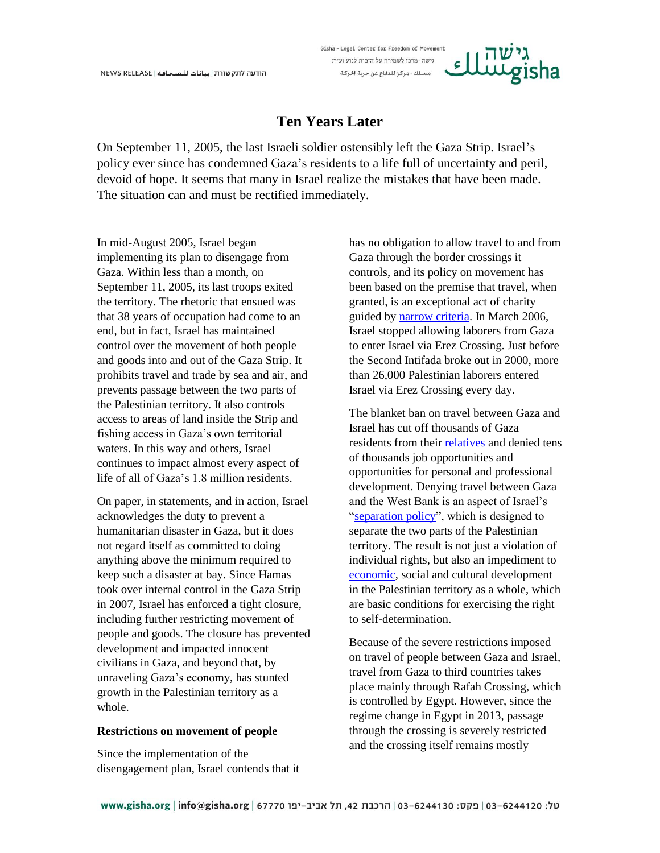# **Ten Years Later**

Gisha-Legal Center for Freedom of Movement גישה - מרכז לשמירה על הזכות לנוע (ע״ר) مسلك - مركز للدفاع عن حرية الحركة

On September 11, 2005, the last Israeli soldier ostensibly left the Gaza Strip. Israel's policy ever since has condemned Gaza's residents to a life full of uncertainty and peril, devoid of hope. It seems that many in Israel realize the mistakes that have been made. The situation can and must be rectified immediately.

In mid-August 2005, Israel began implementing its plan to disengage from Gaza. Within less than a month, on September 11, 2005, its last troops exited the territory. The rhetoric that ensued was that 38 years of occupation had come to an end, but in fact, Israel has maintained control over the movement of both people and goods into and out of the Gaza Strip. It prohibits travel and trade by sea and air, and prevents passage between the two parts of the Palestinian territory. It also controls access to areas of land inside the Strip and fishing access in Gaza's own territorial waters. In this way and others, Israel continues to impact almost every aspect of life of all of Gaza's 1.8 million residents.

On paper, in statements, and in action, Israel acknowledges the duty to prevent a humanitarian disaster in Gaza, but it does not regard itself as committed to doing anything above the minimum required to keep such a disaster at bay. Since Hamas took over internal control in the Gaza Strip in 2007, Israel has enforced a tight closure, including further restricting movement of people and goods. The closure has prevented development and impacted innocent civilians in Gaza, and beyond that, by unraveling Gaza's economy, has stunted growth in the Palestinian territory as a whole.

## **Restrictions on movement of people**

Since the implementation of the disengagement plan, Israel contends that it has no obligation to allow travel to and from Gaza through the border crossings it controls, and its policy on movement has been based on the premise that travel, when granted, is an exceptional act of charity guided by [narrow criteria.](http://www.gisha.org/UserFiles/File/LegalDocuments/procedures/general/50en.pdf) In March 2006, Israel stopped allowing laborers from Gaza to enter Israel via Erez Crossing. Just before the Second Intifada broke out in 2000, more than 26,000 Palestinian laborers entered Israel via Erez Crossing every day.

The blanket ban on travel between Gaza and Israel has cut off thousands of Gaza residents from their [relatives](http://gisha.org/publication/4501) and denied tens of thousands job opportunities and opportunities for personal and professional development. Denying travel between Gaza and the West Bank is an aspect of Israel's ["separation policy"](http://gisha.org/publication/4379), which is designed to separate the two parts of the Palestinian territory. The result is not just a violation of individual rights, but also an impediment to [economic,](http://gisha.org/publication/3986) social and cultural development in the Palestinian territory as a whole, which are basic conditions for exercising the right to self-determination.

Because of the severe restrictions imposed on travel of people between Gaza and Israel, travel from Gaza to third countries takes place mainly through Rafah Crossing, which is controlled by Egypt. However, since the regime change in Egypt in 2013, passage through the crossing is severely restricted and the crossing itself remains mostly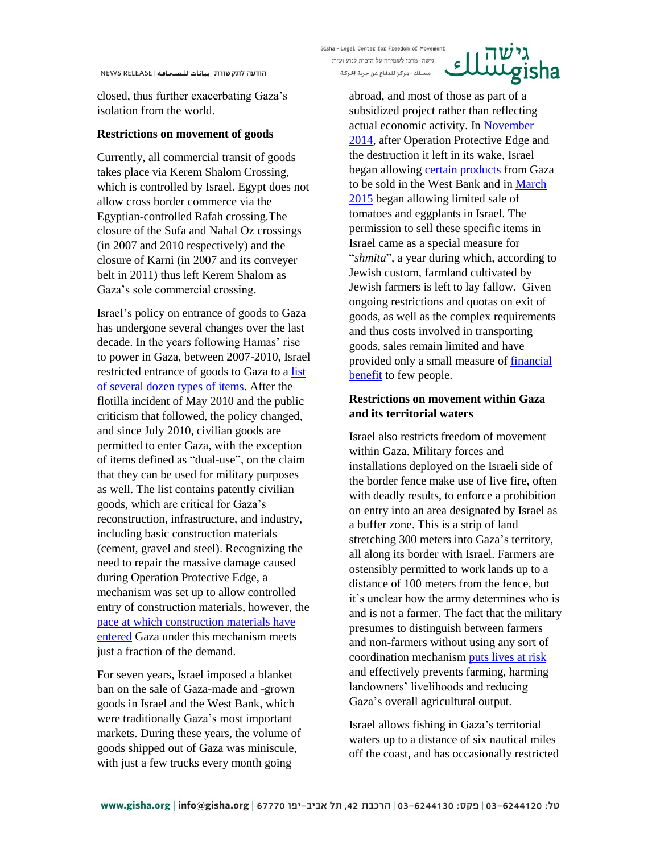closed, thus further exacerbating Gaza's isolation from the world.

### **Restrictions on movement of goods**

Currently, all commercial transit of goods takes place via Kerem Shalom Crossing, which is controlled by Israel. Egypt does not allow cross border commerce via the Egyptian-controlled Rafah crossing.The closure of the Sufa and Nahal Oz crossings (in 2007 and 2010 respectively) and the closure of Karni (in 2007 and its conveyer belt in 2011) thus left Kerem Shalom as Gaza's sole commercial crossing.

Israel's policy on entrance of goods to Gaza has undergone several changes over the last decade. In the years following Hamas' rise to power in Gaza, between 2007-2010, Israel restricted entrance of goods to Gaza to a [list](http://gisha.org/UserFiles/File/HiddenMessages/ItemsGazaStrip060510.pdf)  [of several dozen types of items.](http://gisha.org/UserFiles/File/HiddenMessages/ItemsGazaStrip060510.pdf) After the flotilla incident of May 2010 and the public criticism that followed, the policy changed, and since July 2010, civilian goods are permitted to enter Gaza, with the exception of items defined as "dual-use", on the claim that they can be used for military purposes as well. The list contains patently civilian goods, which are critical for Gaza's reconstruction, infrastructure, and industry, including basic construction materials (cement, gravel and steel). Recognizing the need to repair the massive damage caused during Operation Protective Edge, a mechanism was set up to allow controlled entry of construction materials, however, the pace at [which construction materials have](http://features.gisha.org/wheres-the-housing-boom/)  [entered](http://features.gisha.org/wheres-the-housing-boom/) Gaza under this mechanism meets just a fraction of the demand.

For seven years, Israel imposed a blanket ban on the sale of Gaza-made and -grown goods in Israel and the West Bank, which were traditionally Gaza's most important markets. During these years, the volume of goods shipped out of Gaza was miniscule, with just a few trucks every month going

Gisha-Legal Center for Freedom of Movement גישה - מרכז לשמירה על הזכות לנוע (ע״ר)

مسلك - مركز للدفاع عن حرية الحركة

abroad, and most of those as part of a subsidized project rather than reflecting actual economic activity. In [November](http://gisha.org/updates/3671)  [2014,](http://gisha.org/updates/3671) after Operation Protective Edge and the destruction it left in its wake, Israel began allowing [certain products](http://gisha.org/updates/3671) from Gaza to be sold in the West Bank and in [March](http://gisha.org/updates/4065)  [2015](http://gisha.org/updates/4065) began allowing limited sale of tomatoes and eggplants in Israel. The permission to sell these specific items in Israel came as a special measure for "*shmita*", a year during which, according to Jewish custom, farmland cultivated by Jewish farmers is left to lay fallow. Given ongoing restrictions and quotas on exit of goods, as well as the complex requirements and thus costs involved in transporting goods, sales remain limited and have provided only a small measure of [financial](http://gisha.org/publication/4194)  [benefit](http://gisha.org/publication/4194) to few people.

גישה<br>giسللئ

# **Restrictions on movement within Gaza and its territorial waters**

Israel also restricts freedom of movement within Gaza. Military forces and installations deployed on the Israeli side of the border fence make use of live fire, often with deadly results, to enforce a prohibition on entry into an area designated by Israel as a buffer zone. This is a strip of land stretching 300 meters into Gaza's territory, all along its border with Israel. Farmers are ostensibly permitted to work lands up to a distance of 100 meters from the fence, but it's unclear how the army determines who is and is not a farmer. The fact that the military presumes to distinguish between farmers and non-farmers without using any sort of coordination mechanism [puts lives at risk](http://gisha.org/publication/2635) and effectively prevents farming, harming landowners' livelihoods and reducing Gaza's overall agricultural output.

Israel allows fishing in Gaza's territorial waters up to a distance of six nautical miles off the coast, and has occasionally restricted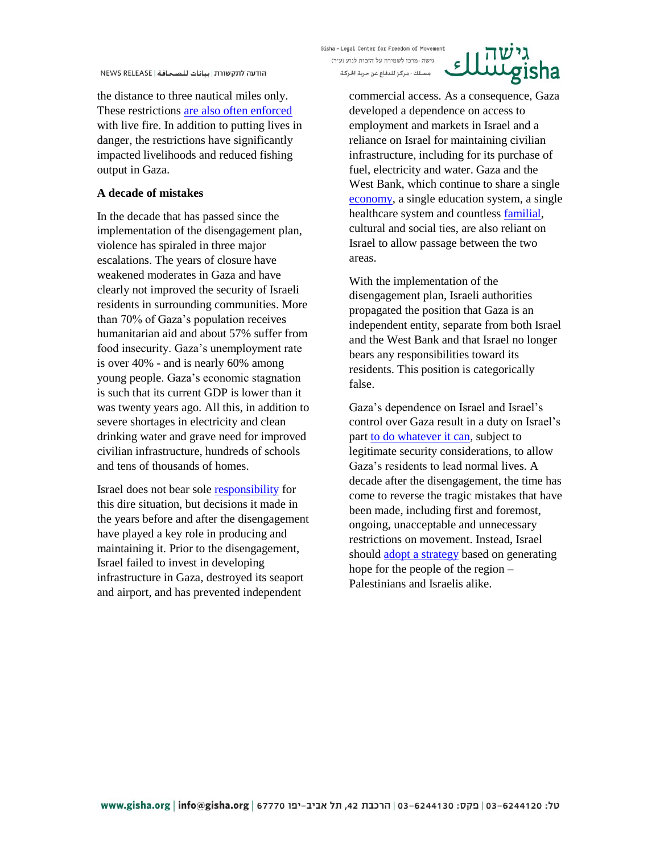the distance to three nautical miles only. These restrictions [are also often enforced](http://gisha.org/en-blog/2015/03/12/dangerous-seas/) with live fire. In addition to putting lives in danger, the restrictions have significantly impacted livelihoods and reduced fishing output in Gaza.

## **A decade of mistakes**

In the decade that has passed since the implementation of the disengagement plan, violence has spiraled in three major escalations. The years of closure have weakened moderates in Gaza and have clearly not improved the security of Israeli residents in surrounding communities. More than 70% of Gaza's population receives humanitarian aid and about 57% suffer from food insecurity. Gaza's unemployment rate is over 40% - and is nearly 60% among young people. Gaza's economic stagnation is such that its current GDP is lower than it was twenty years ago. All this, in addition to severe shortages in electricity and clean drinking water and grave need for improved civilian infrastructure, hundreds of schools and tens of thousands of homes.

Israel does not bear sole [responsibility](http://www.gisha.org/UserFiles/File/scaleofcontrol/scaleofcontrol_s_en.pdf) for this dire situation, but decisions it made in the years before and after the disengagement have played a key role in producing and maintaining it. Prior to the disengagement, Israel failed to invest in developing infrastructure in Gaza, destroyed its seaport and airport, and has prevented independent

Gisha-Legal Center for Freedom of Movement גישה - מרכז לשמירה על הזכות לנוע (ע"ר)

مسلك - مركز للدفاع عن حرية الحركة



commercial access. As a consequence, Gaza developed a dependence on access to employment and markets in Israel and a reliance on Israel for maintaining civilian infrastructure, including for its purchase of fuel, electricity and water. Gaza and the West Bank, which continue to share a single [economy,](http://gisha.org/publication/3986) a single education system, a single healthcare system and countless [familial,](http://features.gisha.org/distant_relatives/) cultural and social ties, are also reliant on Israel to allow passage between the two areas.

With the implementation of the disengagement plan, Israeli authorities propagated the position that Gaza is an independent entity, separate from both Israel and the West Bank and that Israel no longer bears any responsibilities toward its residents. This position is categorically false.

Gaza's dependence on Israel and Israel's control over Gaza result in a duty on Israel's part [to do whatever it can,](http://gisha.org/publication/4379) subject to legitimate security considerations, to allow Gaza's residents to lead normal lives. A decade after the disengagement, the time has come to reverse the tragic mistakes that have been made, including first and foremost, ongoing, unacceptable and unnecessary restrictions on movement. Instead, Israel should [adopt a strategy](http://gisha.org/UserFiles/File/publications/newpage/new-page-en.pdf) based on generating hope for the people of the region – Palestinians and Israelis alike.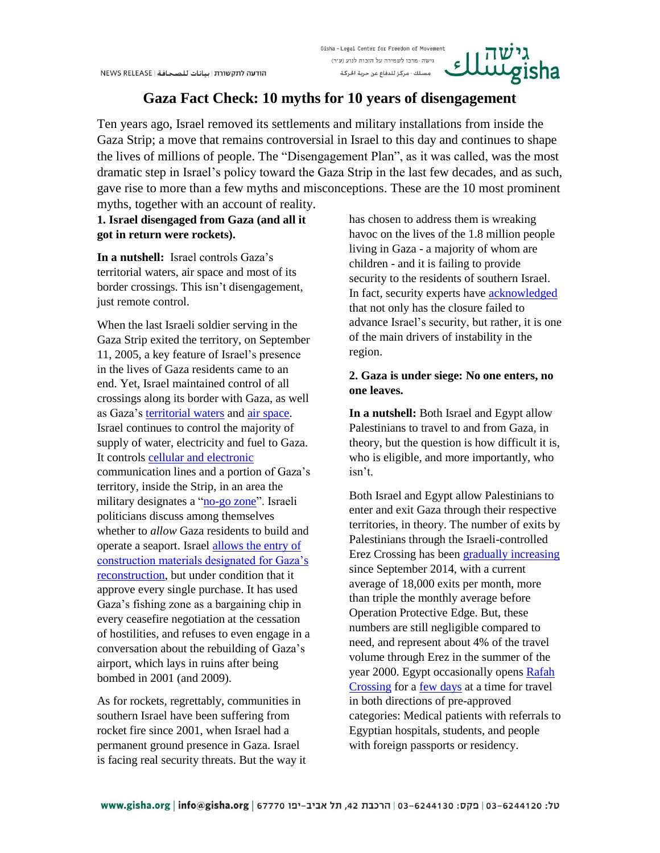#### Gisha-Legal Center for Freedom of Movement גישה - מרכז לשמירה על הזכות לנוע (ע״ר) Ç مسلك - مركز للدفاع عن حرية الحركة

# **Gaza Fact Check: 10 myths for 10 years of disengagement**

Ten years ago, Israel removed its settlements and military installations from inside the Gaza Strip; a move that remains controversial in Israel to this day and continues to shape the lives of millions of people. The "Disengagement Plan", as it was called, was the most dramatic step in Israel's policy toward the Gaza Strip in the last few decades, and as such, gave rise to more than a few myths and misconceptions. These are the 10 most prominent myths, together with an account of reality.

**1. Israel disengaged from Gaza (and all it got in return were rockets).**

**In a nutshell:** Israel controls Gaza's territorial waters, air space and most of its border crossings. This isn't disengagement, just remote control.

When the last Israeli soldier serving in the Gaza Strip exited the territory, on September 11, 2005, a key feature of Israel's presence in the lives of Gaza residents came to an end. Yet, Israel maintained control of all crossings along its border with Gaza, as well as Gaza's [territorial waters](http://gisha.org/en-blog/2011/11/14/territorial-waters/) and [air space.](http://gisha.org/en-blog/2011/11/14/airspace/) Israel continues to control the majority of supply of water, electricity and fuel to Gaza. It controls cellular [and electronic](http://gisha.org/en-blog/2011/11/14/control-of-civilian-infrastructure/) communication lines and a portion of Gaza's territory, inside the Strip, in an area the military designates a ["no-go](http://gisha.org/en-blog/2011/11/14/physical-control-of-the-gaza-strip/) zone". Israeli politicians discuss among themselves whether to *allow* Gaza residents to build and operate a seaport. Israel [allows the entry of](http://features.gisha.org/wheres-the-housing-boom/)  [construction materials designated for Gaza's](http://features.gisha.org/wheres-the-housing-boom/)  [reconstruction,](http://features.gisha.org/wheres-the-housing-boom/) but under condition that it approve every single purchase. It has used Gaza's fishing zone as a bargaining chip in every ceasefire negotiation at the cessation of hostilities, and refuses to even engage in a conversation about the rebuilding of Gaza's airport, which lays in ruins after being bombed in 2001 (and 2009).

As for rockets, regrettably, communities in southern Israel have been suffering from rocket fire since 2001, when Israel had a permanent ground presence in Gaza. Israel is facing real security threats. But the way it

has chosen to address them is wreaking havoc on the lives of the 1.8 million people living in Gaza - a majority of whom are children - and it is failing to provide security to the residents of southern Israel. In fact, security experts have [acknowledged](http://www.ynetnews.com/articles/0,7340,L-4579502,00.html) that not only has the closure failed to advance Israel's security, but rather, it is one of the main drivers of instability in the region.

# **2. Gaza is under siege: No one enters, no one leaves.**

**In a nutshell:** Both Israel and Egypt allow Palestinians to travel to and from Gaza, in theory, but the question is how difficult it is, who is eligible, and more importantly, who isn't.

Both Israel and Egypt allow Palestinians to enter and exit Gaza through their respective territories, in theory. The number of exits by Palestinians through the Israeli-controlled Erez Crossing has bee[n gradually increasing](http://gisha.org/graph/2392) since September 2014, with a current average of 18,000 exits per month, more than triple the monthly average before Operation Protective Edge. But, these numbers are still negligible compared to need, and represent about 4% of the travel volume through Erez in the summer of the year 2000. Egypt occasionally opens [Rafah](http://gisha.org/graph/2399)  [Crossing](http://gisha.org/graph/2399) for a [few days](http://gisha.org/updates/4521) at a time for travel in both directions of pre-approved categories: Medical patients with referrals to Egyptian hospitals, students, and people with foreign passports or residency.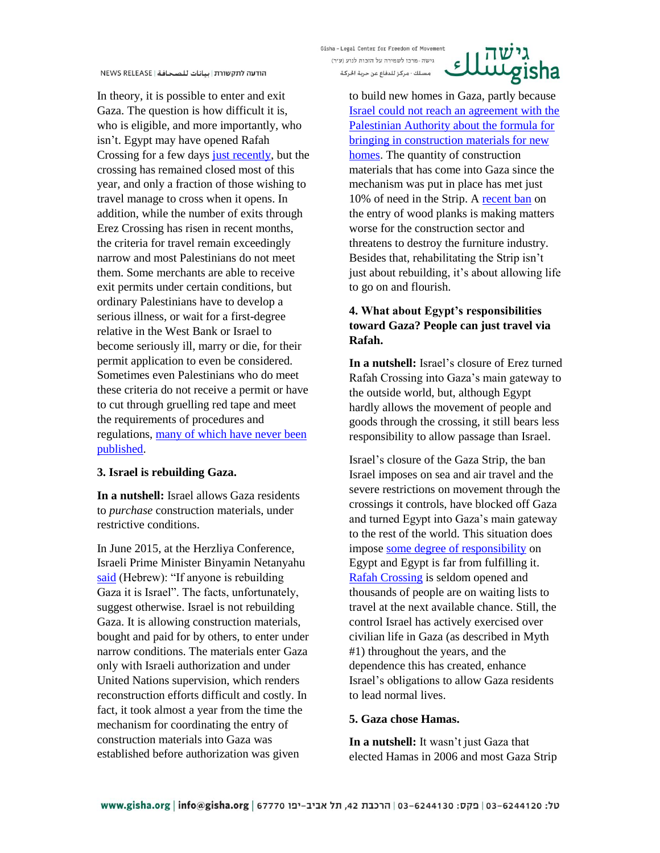In theory, it is possible to enter and exit Gaza. The question is how difficult it is, who is eligible, and more importantly, who isn't. Egypt may have opened Rafah Crossing for a few days [just recently,](http://gisha.org/updates/4521) but the crossing has remained closed most of this year, and only a fraction of those wishing to travel manage to cross when it opens. In addition, while the number of exits through Erez Crossing has risen in recent months, the criteria for travel remain exceedingly narrow and most Palestinians do not meet them. Some merchants are able to receive exit permits under certain conditions, but ordinary Palestinians have to develop a serious illness, or wait for a first-degree relative in the West Bank or Israel to become seriously ill, marry or die, for their permit application to even be considered. Sometimes even Palestinians who do meet these criteria do not receive a permit or have to cut through gruelling red tape and meet the requirements of procedures and regulations, many [of which have never been](http://972mag.com/palestinians-ruled-by-secret-regulations-even-the-army-cant-explain/99704/)  [published.](http://972mag.com/palestinians-ruled-by-secret-regulations-even-the-army-cant-explain/99704/)

### **3. Israel is rebuilding Gaza.**

**In a nutshell:** Israel allows Gaza residents to *purchase* construction materials, under restrictive conditions.

In June 2015, at the Herzliya Conference, Israeli Prime Minister Binyamin Netanyahu [said](http://news.walla.co.il/item/2862204) (Hebrew): "If anyone is rebuilding Gaza it is Israel". The facts, unfortunately, suggest otherwise. Israel is not rebuilding Gaza. It is allowing construction materials, bought and paid for by others, to enter under narrow conditions. The materials enter Gaza only with Israeli authorization and under United Nations supervision, which renders reconstruction efforts difficult and costly. In fact, it took almost a year from the time the mechanism for coordinating the entry of construction materials into Gaza was established before authorization was given

Gisha-Legal Center for Freedom of Movement גישה - מרכז לשמירה על הזכות לנוע (ע״ר)

مسلك - مركز للدفاع عن حرية الحركة



to build new homes in Gaza, partly because [Israel could not reach an agreement with the](http://features.gisha.org/wheres-the-housing-boom/)  [Palestinian Authority about the formula for](http://features.gisha.org/wheres-the-housing-boom/)  [bringing in construction materials for new](http://features.gisha.org/wheres-the-housing-boom/)  [homes.](http://features.gisha.org/wheres-the-housing-boom/) The quantity of construction materials that has come into Gaza since the mechanism was put in place has met just 10% of need in the Strip. A [recent ban](http://gisha.org/updates/4173) on the entry of wood planks is making matters worse for the construction sector and threatens to destroy the furniture industry. Besides that, rehabilitating the Strip isn't just about rebuilding, it's about allowing life to go on and flourish.

# **4. What about Egypt's responsibilities toward Gaza? People can just travel via Rafah.**

**In a nutshell:** Israel's closure of Erez turned Rafah Crossing into Gaza's main gateway to the outside world, but, although Egypt hardly allows the movement of people and goods through the crossing, it still bears less responsibility to allow passage than Israel.

Israel's closure of the Gaza Strip, the ban Israel imposes on sea and air travel and the severe restrictions on movement through the crossings it controls, have blocked off Gaza and turned Egypt into Gaza's main gateway to the rest of the world. This situation does impose [some degree of responsibility](http://www.gisha.org/UserFiles/File/publications/Rafah_Report_Eng.pdf) on Egypt and Egypt is far from fulfilling it. [Rafah Crossing](http://gisha.org/graph/2399) is seldom opened and thousands of people are on waiting lists to travel at the next available chance. Still, the control Israel has actively exercised over civilian life in Gaza (as described in Myth #1) throughout the years, and the dependence this has created, enhance Israel's obligations to allow Gaza residents to lead normal lives.

### **5. Gaza chose Hamas.**

**In a nutshell:** It wasn't just Gaza that elected Hamas in 2006 and most Gaza Strip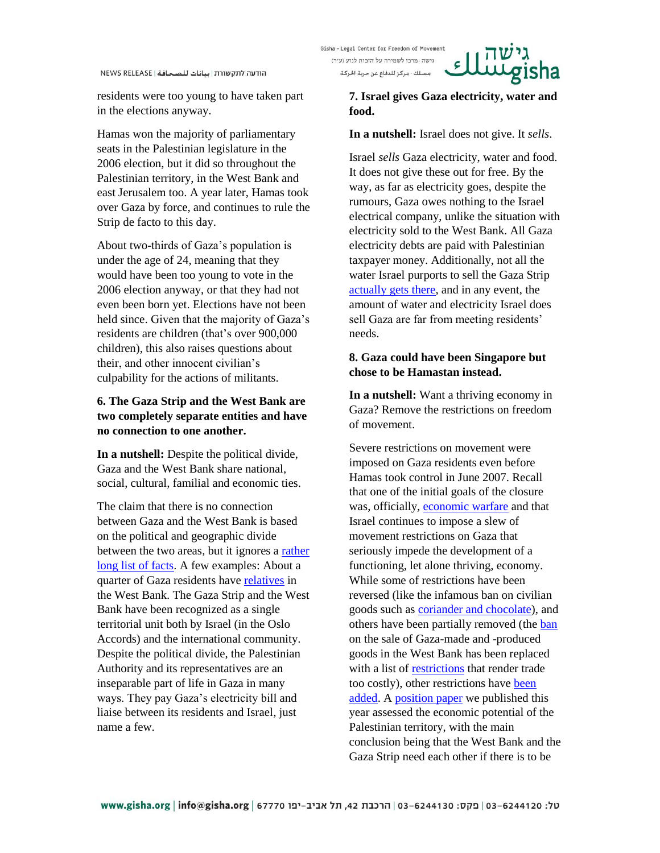residents were too young to have taken part in the elections anyway.

Hamas won the majority of parliamentary seats in the Palestinian legislature in the 2006 election, but it did so throughout the Palestinian territory, in the West Bank and east Jerusalem too. A year later, Hamas took over Gaza by force, and continues to rule the Strip de facto to this day.

About two-thirds of Gaza's population is under the age of 24, meaning that they would have been too young to vote in the 2006 election anyway, or that they had not even been born yet. Elections have not been held since. Given that the majority of Gaza's residents are children (that's over 900,000 children), this also raises questions about their, and other innocent civilian's culpability for the actions of militants.

# **6. The Gaza Strip and the West Bank are two completely separate entities and have no connection to one another.**

**In a nutshell:** Despite the political divide, Gaza and the West Bank share national, social, cultural, familial and economic ties.

The claim that there is no connection between Gaza and the West Bank is based on the political and geographic divide between the two areas, but it ignores a [rather](http://gisha.org/en-blog/2014/07/21/gazas-future-15-facts-that-cant-be-ignored/)  [long list of facts.](http://gisha.org/en-blog/2014/07/21/gazas-future-15-facts-that-cant-be-ignored/) A few examples: About a quarter of Gaza residents have [relatives](http://gisha.org/publication/4501) in the West Bank. The Gaza Strip and the West Bank have been recognized as a single territorial unit both by Israel (in the Oslo Accords) and the international community. Despite the political divide, the Palestinian Authority and its representatives are an inseparable part of life in Gaza in many ways. They pay Gaza's electricity bill and liaise between its residents and Israel, just name a few.

Gisha-Legal Center for Freedom of Movement גישה - מרכז לשמירה על הזכות לנוע (ע"ר) مسلك - مركز للدفاع عن حرية الحركة



## **7. Israel gives Gaza electricity, water and food.**

### **In a nutshell:** Israel does not give. It *sells*.

Israel *sells* Gaza electricity, water and food. It does not give these out for free. By the way, as far as electricity goes, despite the rumours, Gaza owes nothing to the Israel electrical company, unlike the situation with electricity sold to the West Bank. All Gaza electricity debts are paid with Palestinian taxpayer money. Additionally, not all the water Israel purports to sell the Gaza Strip [actually gets there,](http://gisha.org/en-blog/2014/08/24/what-the-mfa-got-wrong-on-gaza/) and in any event, the amount of water and electricity Israel does sell Gaza are far from meeting residents' needs.

## **8. Gaza could have been Singapore but chose to be Hamastan instead.**

**In a nutshell:** Want a thriving economy in Gaza? Remove the restrictions on freedom of movement.

Severe restrictions on movement were imposed on Gaza residents even before Hamas took control in June 2007. Recall that one of the initial goals of the closure was, officially, [economic warfare](http://spg.org.il/docs_html/eng/Eng_traders/legal/doc%20full_eng%20trader_legal_01.pdf) and that Israel continues to impose a slew of movement restrictions on Gaza that seriously impede the development of a functioning, let alone thriving, economy. While some of restrictions have been reversed (like the infamous ban on civilian goods such as [coriander and chocolate\)](http://gisha.org/UserFiles/File/HiddenMessages/ItemsGazaStrip060510.pdf), and others have been partially removed (the [ban](http://gisha.org/updates/3671) on the sale of Gaza-made and -produced goods in the West Bank has been replaced with a list of [restrictions](http://gisha.org/UserFiles/File/publications/made_in_gaza/made_in_gaza_en.pdf) that render trade too costly), other restrictions hav[e been](http://gisha.org/updates/4173)  [added.](http://gisha.org/updates/4173) A [position paper](http://gisha.org/UserFiles/File/publications/a_costly_divide/a_costly_divide_en-web.pdf) we published this year assessed the economic potential of the Palestinian territory, with the main conclusion being that the West Bank and the Gaza Strip need each other if there is to be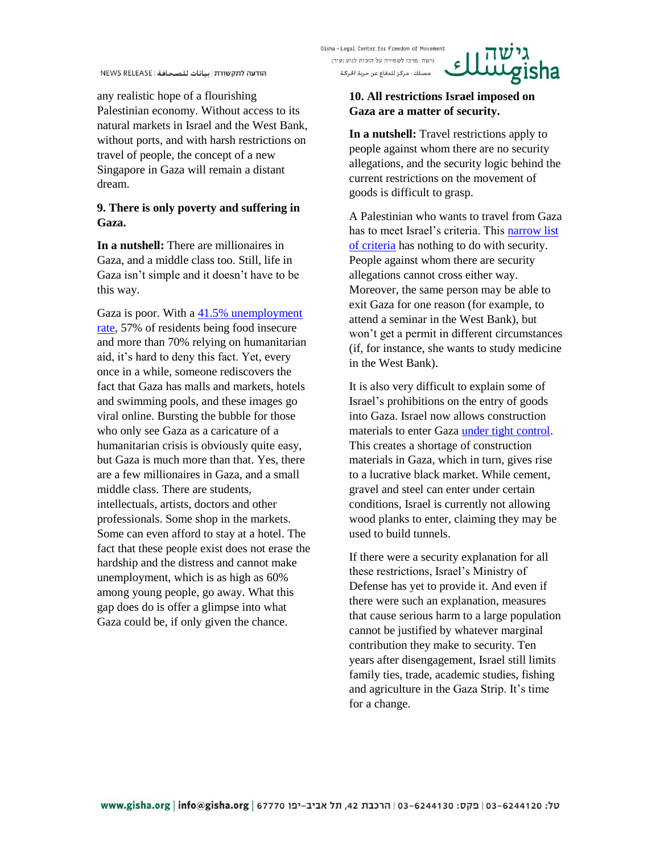any realistic hope of a flourishing Palestinian economy. Without access to its natural markets in Israel and the West Bank, without ports, and with harsh restrictions on travel of people, the concept of a new Singapore in Gaza will remain a distant dream.

# **9. There is only poverty and suffering in Gaza.**

**In a nutshell:** There are millionaires in Gaza, and a middle class too. Still, life in Gaza isn't simple and it doesn't have to be this way.

Gaza is poor. With a [41.5% unemployment](http://gisha.org/updates/4526)  [rate,](http://gisha.org/updates/4526) 57% of residents being food insecure and more than 70% relying on humanitarian aid, it's hard to deny this fact. Yet, every once in a while, someone rediscovers the fact that Gaza has malls and markets, hotels and swimming pools, and these images go viral online. Bursting the bubble for those who only see Gaza as a caricature of a humanitarian crisis is obviously quite easy, but Gaza is much more than that. Yes, there are a few millionaires in Gaza, and a small middle class. There are students, intellectuals, artists, doctors and other professionals. Some shop in the markets. Some can even afford to stay at a hotel. The fact that these people exist does not erase the hardship and the distress and cannot make unemployment, which is as high as 60% among young people, go away. What this gap does do is offer a glimpse into what Gaza could be, if only given the chance.

Gisha-Legal Center for Freedom of Movement גישה - מרכז לשמירה על הזכות לנוע (ע"ר)

مسلك - مركز للدفاع عن حرية الحركة

# **10. All restrictions Israel imposed on Gaza are a matter of security.**

 $\epsilon$ 

**In a nutshell:** Travel restrictions apply to people against whom there are no security allegations, and the security logic behind the current restrictions on the movement of goods is difficult to grasp.

A Palestinian who wants to travel from Gaza has to meet Israel's criteria. This [narrow list](http://www.gisha.org/UserFiles/File/LegalDocuments/procedures/general/50en.pdf)  [of criteria](http://www.gisha.org/UserFiles/File/LegalDocuments/procedures/general/50en.pdf) has nothing to do with security. People against whom there are security allegations cannot cross either way. Moreover, the same person may be able to exit Gaza for one reason (for example, to attend a seminar in the West Bank), but won't get a permit in different circumstances (if, for instance, she wants to study medicine in the West Bank).

It is also very difficult to explain some of Israel's prohibitions on the entry of goods into Gaza. Israel now allows construction materials to enter Gaza [under tight control.](http://features.gisha.org/wheres-the-housing-boom/) This creates a shortage of construction materials in Gaza, which in turn, gives rise to a lucrative black market. While cement, gravel and steel can enter under certain conditions, Israel is currently not allowing wood planks to enter, claiming they may be used to build tunnels.

If there were a security explanation for all these restrictions, Israel's Ministry of Defense has yet to provide it. And even if there were such an explanation, measures that cause serious harm to a large population cannot be justified by whatever marginal contribution they make to security. Ten years after disengagement, Israel still limits family ties, trade, academic studies, fishing and agriculture in the Gaza Strip. It's time for a change.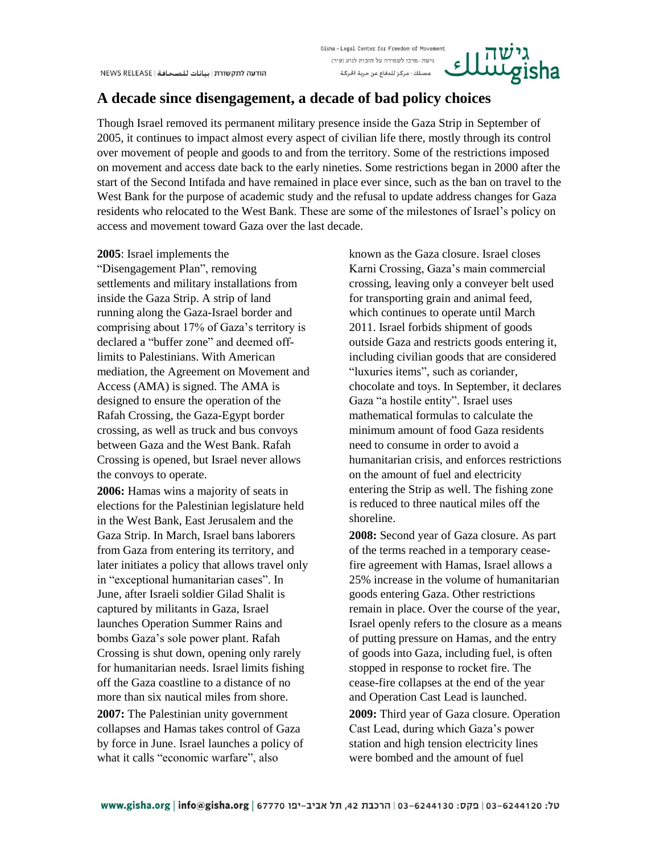### Gisha-Legal Center for Freedom of Movement גישה - מרכז לשמירה על הזכות לנוע (ע״ר) مسلك - مركز للدفاع عن حرية الحركة

# **A decade since disengagement, a decade of bad policy choices**

Though Israel removed its permanent military presence inside the Gaza Strip in September of 2005, it continues to impact almost every aspect of civilian life there, mostly through its control over movement of people and goods to and from the territory. Some of the restrictions imposed on movement and access date back to the early nineties. Some restrictions began in 2000 after the start of the Second Intifada and have remained in place ever since, such as the ban on travel to the West Bank for the purpose of academic study and the refusal to update address changes for Gaza residents who relocated to the West Bank. These are some of the milestones of Israel's policy on access and movement toward Gaza over the last decade.

### **2005**: Israel implements the

"Disengagement Plan", removing settlements and military installations from inside the Gaza Strip. A strip of land running along the Gaza-Israel border and comprising about 17% of Gaza's territory is declared a "buffer zone" and deemed offlimits to Palestinians. With American mediation, the Agreement on Movement and Access (AMA) is signed. The AMA is designed to ensure the operation of the Rafah Crossing, the Gaza-Egypt border crossing, as well as truck and bus convoys between Gaza and the West Bank. Rafah Crossing is opened, but Israel never allows the convoys to operate.

**2006:** Hamas wins a majority of seats in elections for the Palestinian legislature held in the West Bank, East Jerusalem and the Gaza Strip. In March, Israel bans laborers from Gaza from entering its territory, and later initiates a policy that allows travel only in "exceptional humanitarian cases". In June, after Israeli soldier Gilad Shalit is captured by militants in Gaza, Israel launches Operation Summer Rains and bombs Gaza's sole power plant. Rafah Crossing is shut down, opening only rarely for humanitarian needs. Israel limits fishing off the Gaza coastline to a distance of no more than six nautical miles from shore.

**2007:** The Palestinian unity government collapses and Hamas takes control of Gaza by force in June. Israel launches a policy of what it calls "economic warfare", also

known as the Gaza closure. Israel closes Karni Crossing, Gaza's main commercial crossing, leaving only a conveyer belt used for transporting grain and animal feed, which continues to operate until March 2011. Israel forbids shipment of goods outside Gaza and restricts goods entering it, including civilian goods that are considered "luxuries items", such as coriander, chocolate and toys. In September, it declares Gaza "a hostile entity". Israel uses mathematical formulas to calculate the minimum amount of food Gaza residents need to consume in order to avoid a humanitarian crisis, and enforces restrictions on the amount of fuel and electricity entering the Strip as well. The fishing zone is reduced to three nautical miles off the shoreline.

 $\epsilon$  ]

**2008:** Second year of Gaza closure. As part of the terms reached in a temporary ceasefire agreement with Hamas, Israel allows a 25% increase in the volume of humanitarian goods entering Gaza. Other restrictions remain in place. Over the course of the year, Israel openly refers to the closure as a means of putting pressure on Hamas, and the entry of goods into Gaza, including fuel, is often stopped in response to rocket fire. The cease-fire collapses at the end of the year and Operation Cast Lead is launched. **2009:** Third year of Gaza closure. Operation Cast Lead, during which Gaza's power station and high tension electricity lines were bombed and the amount of fuel